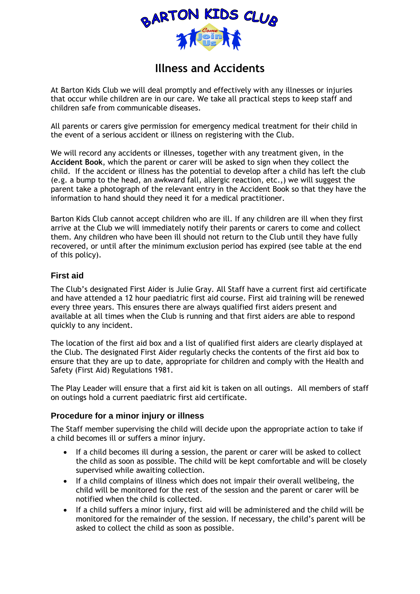

# **Illness and Accidents**

At Barton Kids Club we will deal promptly and effectively with any illnesses or injuries that occur while children are in our care. We take all practical steps to keep staff and children safe from communicable diseases.

All parents or carers give permission for emergency medical treatment for their child in the event of a serious accident or illness on registering with the Club.

We will record any accidents or illnesses, together with any treatment given, in the **Accident Book**, which the parent or carer will be asked to sign when they collect the child. If the accident or illness has the potential to develop after a child has left the club (e.g. a bump to the head, an awkward fall, allergic reaction, etc.,) we will suggest the parent take a photograph of the relevant entry in the Accident Book so that they have the information to hand should they need it for a medical practitioner.

Barton Kids Club cannot accept children who are ill. If any children are ill when they first arrive at the Club we will immediately notify their parents or carers to come and collect them. Any children who have been ill should not return to the Club until they have fully recovered, or until after the minimum exclusion period has expired (see table at the end of this policy).

### **First aid**

The Club's designated First Aider is Julie Gray. All Staff have a current first aid certificate and have attended a 12 hour paediatric first aid course. First aid training will be renewed every three years. This ensures there are always qualified first aiders present and available at all times when the Club is running and that first aiders are able to respond quickly to any incident.

The location of the first aid box and a list of qualified first aiders are clearly displayed at the Club. The designated First Aider regularly checks the contents of the first aid box to ensure that they are up to date, appropriate for children and comply with the Health and Safety (First Aid) Regulations 1981.

The Play Leader will ensure that a first aid kit is taken on all outings. All members of staff on outings hold a current paediatric first aid certificate.

## **Procedure for a minor injury or illness**

The Staff member supervising the child will decide upon the appropriate action to take if a child becomes ill or suffers a minor injury.

- If a child becomes ill during a session, the parent or carer will be asked to collect the child as soon as possible. The child will be kept comfortable and will be closely supervised while awaiting collection.
- If a child complains of illness which does not impair their overall wellbeing, the child will be monitored for the rest of the session and the parent or carer will be notified when the child is collected.
- If a child suffers a minor injury, first aid will be administered and the child will be monitored for the remainder of the session. If necessary, the child's parent will be asked to collect the child as soon as possible.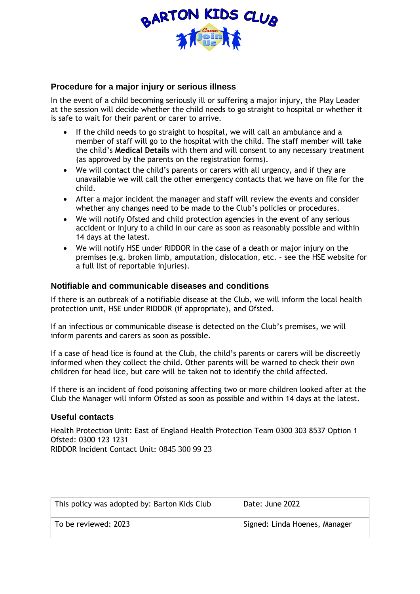

### **Procedure for a major injury or serious illness**

In the event of a child becoming seriously ill or suffering a major injury, the Play Leader at the session will decide whether the child needs to go straight to hospital or whether it is safe to wait for their parent or carer to arrive.

- If the child needs to go straight to hospital, we will call an ambulance and a member of staff will go to the hospital with the child. The staff member will take the child's **Medical Details** with them and will consent to any necessary treatment (as approved by the parents on the registration forms).
- We will contact the child's parents or carers with all urgency, and if they are unavailable we will call the other emergency contacts that we have on file for the child.
- After a major incident the manager and staff will review the events and consider whether any changes need to be made to the Club's policies or procedures.
- We will notify Ofsted and child protection agencies in the event of any serious accident or injury to a child in our care as soon as reasonably possible and within 14 days at the latest.
- We will notify HSE under RIDDOR in the case of a death or major injury on the premises (e.g. broken limb, amputation, dislocation, etc. – see the HSE website for a full list of reportable injuries).

#### **Notifiable and communicable diseases and conditions**

If there is an outbreak of a notifiable disease at the Club, we will inform the local health protection unit, HSE under RIDDOR (if appropriate), and Ofsted.

If an infectious or communicable disease is detected on the Club's premises, we will inform parents and carers as soon as possible.

If a case of head lice is found at the Club, the child's parents or carers will be discreetly informed when they collect the child. Other parents will be warned to check their own children for head lice, but care will be taken not to identify the child affected.

If there is an incident of food poisoning affecting two or more children looked after at the Club the Manager will inform Ofsted as soon as possible and within 14 days at the latest.

#### **Useful contacts**

Health Protection Unit: East of England Health Protection Team 0300 303 8537 Option 1 Ofsted: 0300 123 1231 RIDDOR Incident Contact Unit: 0845 300 99 23

| This policy was adopted by: Barton Kids Club | Date: June 2022               |
|----------------------------------------------|-------------------------------|
| To be reviewed: 2023                         | Signed: Linda Hoenes, Manager |